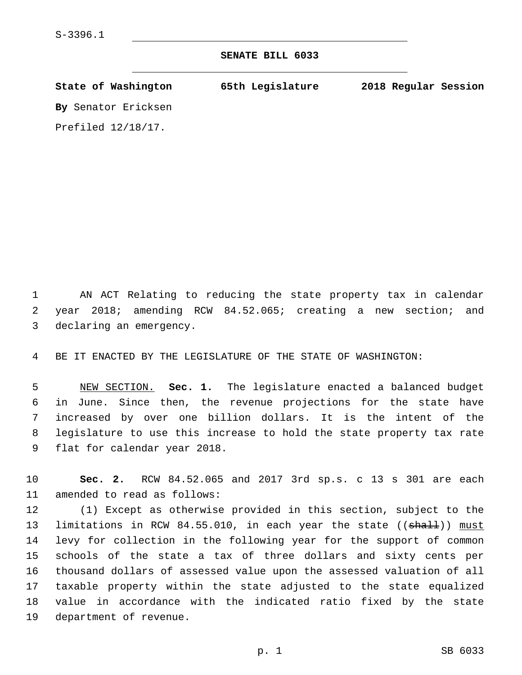## **SENATE BILL 6033**

| State of Washington   | 65th Legislature | 2018 Regular Session |
|-----------------------|------------------|----------------------|
| By Senator Ericksen   |                  |                      |
| Prefiled $12/18/17$ . |                  |                      |

1 AN ACT Relating to reducing the state property tax in calendar 2 year 2018; amending RCW 84.52.065; creating a new section; and 3 declaring an emergency.

4 BE IT ENACTED BY THE LEGISLATURE OF THE STATE OF WASHINGTON:

 NEW SECTION. **Sec. 1.** The legislature enacted a balanced budget in June. Since then, the revenue projections for the state have increased by over one billion dollars. It is the intent of the legislature to use this increase to hold the state property tax rate flat for calendar year 2018.

10 **Sec. 2.** RCW 84.52.065 and 2017 3rd sp.s. c 13 s 301 are each 11 amended to read as follows:

 (1) Except as otherwise provided in this section, subject to the 13 limitations in RCW 84.55.010, in each year the state ((shall)) must levy for collection in the following year for the support of common schools of the state a tax of three dollars and sixty cents per thousand dollars of assessed value upon the assessed valuation of all taxable property within the state adjusted to the state equalized value in accordance with the indicated ratio fixed by the state 19 department of revenue.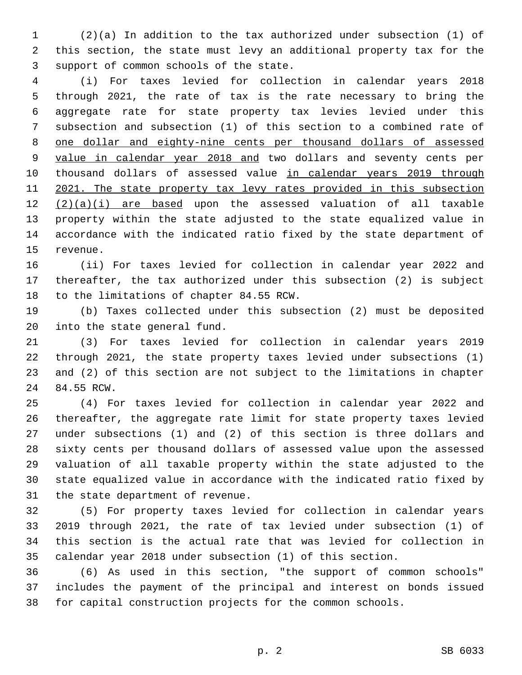(2)(a) In addition to the tax authorized under subsection (1) of this section, the state must levy an additional property tax for the 3 support of common schools of the state.

 (i) For taxes levied for collection in calendar years 2018 through 2021, the rate of tax is the rate necessary to bring the aggregate rate for state property tax levies levied under this subsection and subsection (1) of this section to a combined rate of one dollar and eighty-nine cents per thousand dollars of assessed value in calendar year 2018 and two dollars and seventy cents per 10 thousand dollars of assessed value in calendar years 2019 through 11 2021. The state property tax levy rates provided in this subsection (2)(a)(i) are based upon the assessed valuation of all taxable property within the state adjusted to the state equalized value in accordance with the indicated ratio fixed by the state department of 15 revenue.

 (ii) For taxes levied for collection in calendar year 2022 and thereafter, the tax authorized under this subsection (2) is subject 18 to the limitations of chapter 84.55 RCW.

 (b) Taxes collected under this subsection (2) must be deposited 20 into the state general fund.

 (3) For taxes levied for collection in calendar years 2019 through 2021, the state property taxes levied under subsections (1) and (2) of this section are not subject to the limitations in chapter 24 84.55 RCW.

 (4) For taxes levied for collection in calendar year 2022 and thereafter, the aggregate rate limit for state property taxes levied under subsections (1) and (2) of this section is three dollars and sixty cents per thousand dollars of assessed value upon the assessed valuation of all taxable property within the state adjusted to the state equalized value in accordance with the indicated ratio fixed by 31 the state department of revenue.

 (5) For property taxes levied for collection in calendar years 2019 through 2021, the rate of tax levied under subsection (1) of this section is the actual rate that was levied for collection in calendar year 2018 under subsection (1) of this section.

 (6) As used in this section, "the support of common schools" includes the payment of the principal and interest on bonds issued for capital construction projects for the common schools.